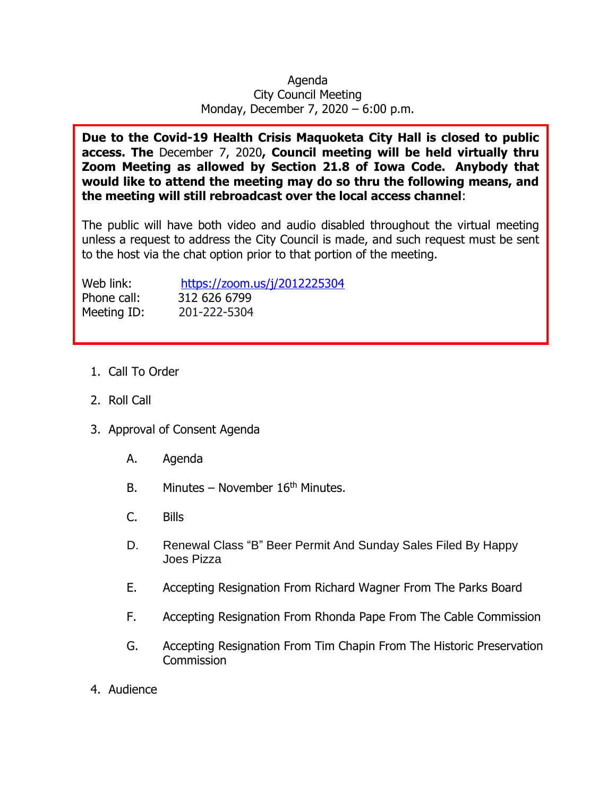## Agenda City Council Meeting Monday, December 7, 2020 – 6:00 p.m.

**Due to the Covid-19 Health Crisis Maquoketa City Hall is closed to public access. The** December 7, 2020**, Council meeting will be held virtually thru Zoom Meeting as allowed by Section 21.8 of Iowa Code. Anybody that would like to attend the meeting may do so thru the following means, and the meeting will still rebroadcast over the local access channel**:

The public will have both video and audio disabled throughout the virtual meeting unless a request to address the City Council is made, and such request must be sent to the host via the chat option prior to that portion of the meeting.

Phone call: 312 626 6799

Web link: <https://zoom.us/j/2012225304> Meeting ID: 201-222-5304

- 1. Call To Order
- 2. Roll Call
- 3. Approval of Consent Agenda
	- A. Agenda
	- B. Minutes November  $16<sup>th</sup>$  Minutes.
	- C. Bills
	- D. Renewal Class "B" Beer Permit And Sunday Sales Filed By Happy Joes Pizza
	- E. Accepting Resignation From Richard Wagner From The Parks Board
	- F. Accepting Resignation From Rhonda Pape From The Cable Commission
	- G. Accepting Resignation From Tim Chapin From The Historic Preservation **Commission**
- 4. Audience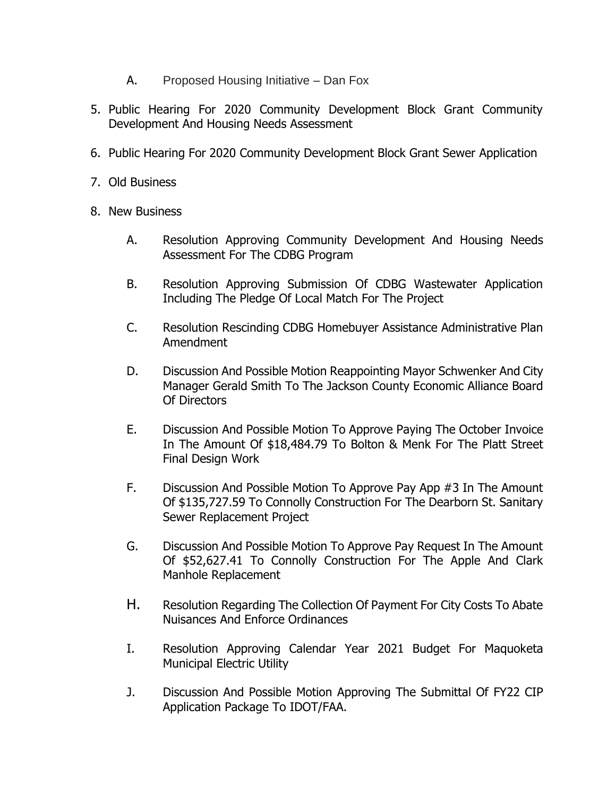- A. Proposed Housing Initiative Dan Fox
- 5. Public Hearing For 2020 Community Development Block Grant Community Development And Housing Needs Assessment
- 6. Public Hearing For 2020 Community Development Block Grant Sewer Application
- 7. Old Business
- 8. New Business
	- A. Resolution Approving Community Development And Housing Needs Assessment For The CDBG Program
	- B. Resolution Approving Submission Of CDBG Wastewater Application Including The Pledge Of Local Match For The Project
	- C. Resolution Rescinding CDBG Homebuyer Assistance Administrative Plan Amendment
	- D. Discussion And Possible Motion Reappointing Mayor Schwenker And City Manager Gerald Smith To The Jackson County Economic Alliance Board Of Directors
	- E. Discussion And Possible Motion To Approve Paying The October Invoice In The Amount Of \$18,484.79 To Bolton & Menk For The Platt Street Final Design Work
	- F. Discussion And Possible Motion To Approve Pay App #3 In The Amount Of \$135,727.59 To Connolly Construction For The Dearborn St. Sanitary Sewer Replacement Project
	- G. Discussion And Possible Motion To Approve Pay Request In The Amount Of \$52,627.41 To Connolly Construction For The Apple And Clark Manhole Replacement
	- H. Resolution Regarding The Collection Of Payment For City Costs To Abate Nuisances And Enforce Ordinances
	- I. Resolution Approving Calendar Year 2021 Budget For Maquoketa Municipal Electric Utility
	- J. Discussion And Possible Motion Approving The Submittal Of FY22 CIP Application Package To IDOT/FAA.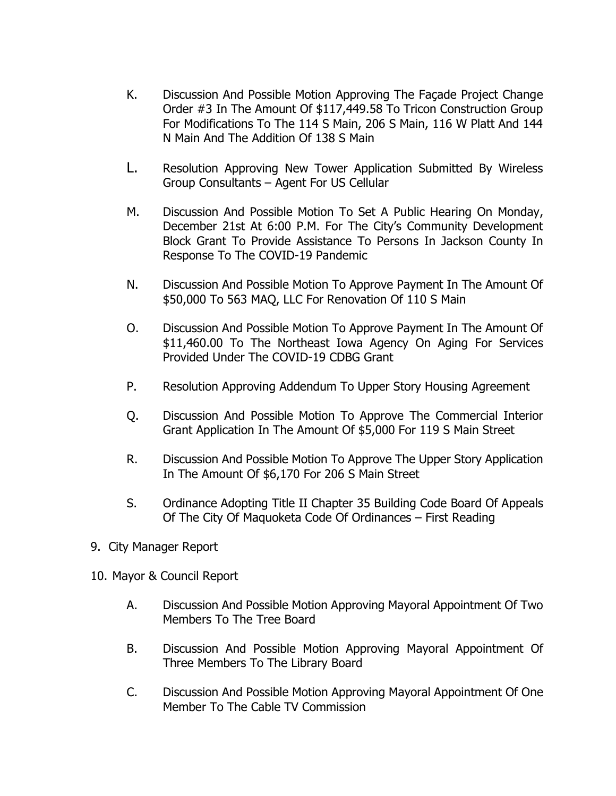- K. Discussion And Possible Motion Approving The Façade Project Change Order #3 In The Amount Of \$117,449.58 To Tricon Construction Group For Modifications To The 114 S Main, 206 S Main, 116 W Platt And 144 N Main And The Addition Of 138 S Main
- L. Resolution Approving New Tower Application Submitted By Wireless Group Consultants – Agent For US Cellular
- M. Discussion And Possible Motion To Set A Public Hearing On Monday, December 21st At 6:00 P.M. For The City's Community Development Block Grant To Provide Assistance To Persons In Jackson County In Response To The COVID-19 Pandemic
- N. Discussion And Possible Motion To Approve Payment In The Amount Of \$50,000 To 563 MAQ, LLC For Renovation Of 110 S Main
- O. Discussion And Possible Motion To Approve Payment In The Amount Of \$11,460.00 To The Northeast Iowa Agency On Aging For Services Provided Under The COVID-19 CDBG Grant
- P. Resolution Approving Addendum To Upper Story Housing Agreement
- Q. Discussion And Possible Motion To Approve The Commercial Interior Grant Application In The Amount Of \$5,000 For 119 S Main Street
- R. Discussion And Possible Motion To Approve The Upper Story Application In The Amount Of \$6,170 For 206 S Main Street
- S. Ordinance Adopting Title II Chapter 35 Building Code Board Of Appeals Of The City Of Maquoketa Code Of Ordinances – First Reading
- 9. City Manager Report
- 10. Mayor & Council Report
	- A. Discussion And Possible Motion Approving Mayoral Appointment Of Two Members To The Tree Board
	- B. Discussion And Possible Motion Approving Mayoral Appointment Of Three Members To The Library Board
	- C. Discussion And Possible Motion Approving Mayoral Appointment Of One Member To The Cable TV Commission